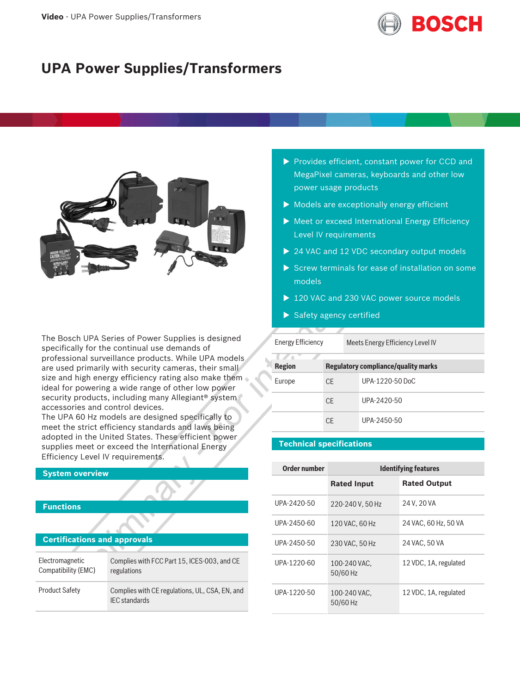

# **UPA Power Supplies/Transformers**



The Bosch UPA Series of Power Supplies is designed specifically for the continual use demands of professional surveillance products. While UPA models are used primarily with security cameras, their small size and high energy efficiency rating also make them ideal for powering a wide range of other low power security products, including many Allegiant<sup>®</sup> system accessories and control devices.

The UPA 60 Hz models are designed specifically to meet the strict efficiency standards and laws being adopted in the United States. These efficient power supplies meet or exceed the International Energy Efficiency Level IV requirements.

### **System overview**

## **Functions**

| <b>Certifications and approvals</b>    |                                                                        |  |
|----------------------------------------|------------------------------------------------------------------------|--|
|                                        |                                                                        |  |
| Electromagnetic<br>Compatibility (EMC) | Complies with FCC Part 15, ICES-003, and CE<br>regulations             |  |
| <b>Product Safety</b>                  | Complies with CE regulations, UL, CSA, EN, and<br><b>IEC</b> standards |  |

- $\blacktriangleright$  Provides efficient, constant power for CCD and MegaPixel cameras, keyboards and other low power usage products
- $\triangleright$  Models are exceptionally energy efficient
- $\blacktriangleright$  Meet or exceed International Energy Efficiency Level IV requirements
- $\triangleright$  24 VAC and 12 VDC secondary output models
- $\triangleright$  Screw terminals for ease of installation on some models
- $\triangleright$  120 VAC and 230 VAC power source models
- $\blacktriangleright$  Safety agency certified

| <b>Energy Efficiency</b>                                    |     |  | Meets Energy Efficiency Level IV |
|-------------------------------------------------------------|-----|--|----------------------------------|
| <b>Region</b><br><b>Regulatory compliance/quality marks</b> |     |  |                                  |
| Europe                                                      | CF. |  | UPA-1220-50 DoC                  |
|                                                             | CF. |  | UPA-2420-50                      |
|                                                             | CF  |  | UPA-2450-50                      |

# **Technical specifications**

| Order number | <b>Identifying features</b> |                       |
|--------------|-----------------------------|-----------------------|
|              | <b>Rated Input</b>          | <b>Rated Output</b>   |
| UPA-2420-50  | 220-240 V, 50 Hz            | 24 V, 20 VA           |
| UPA-2450-60  | 120 VAC, 60 Hz              | 24 VAC, 60 Hz, 50 VA  |
| UPA-2450-50  | 230 VAC, 50 Hz              | 24 VAC, 50 VA         |
| UPA-1220-60  | 100-240 VAC.<br>50/60 Hz    | 12 VDC, 1A, regulated |
| UPA-1220-50  | 100-240 VAC.<br>50/60 Hz    | 12 VDC, 1A, regulated |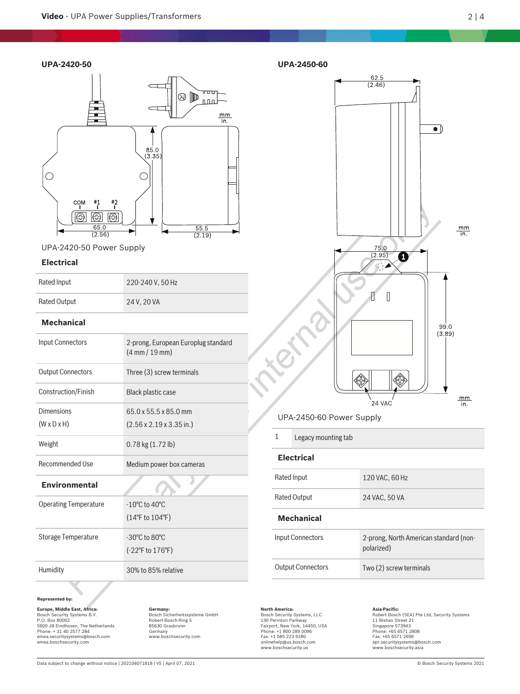### **UPA-2420-50**



UPA-2420-50 Power Supply

### **Electrical**

| Rated Input         | 220-240 V, 50 Hz |
|---------------------|------------------|
| <b>Rated Output</b> | 24 V, 20 VA      |

# **Mechanical**

| <b>Input Connectors</b>      | 2-prong, European Europlug standard<br>$(4 \, \text{mm} / 19 \, \text{mm})$ |
|------------------------------|-----------------------------------------------------------------------------|
| <b>Output Connectors</b>     | Three (3) screw terminals                                                   |
| Construction/Finish          | Black plastic case                                                          |
| Dimensions                   | 65.0 x 55.5 x 85.0 mm                                                       |
| $(W \times D \times H)$      | $(2.56 \times 2.19 \times 3.35 \text{ in.})$                                |
| Weight                       | $0.78$ kg $(1.72$ lb)                                                       |
| <b>Recommended Use</b>       | Medium power box cameras                                                    |
| <b>Environmental</b>         |                                                                             |
| <b>Operating Temperature</b> | $-10^{\circ}$ C to 40 $^{\circ}$ C                                          |
|                              | $(14^{\circ}$ F to $104^{\circ}$ F)                                         |
| Storage Temperature          | $-30^{\circ}$ C to $80^{\circ}$ C                                           |
|                              | $(-22^{\circ}$ F to 176 $^{\circ}$ F)                                       |

Humidity 30% to 85% relative

#### **Represented by:**

**Europe, Middle East, Africa: Germany: North America: Asia-Pacific:** Bosch Security Systems, LLC 130 Perinton Parkway Fairport, New York, 14450, USA Phone: +1 800 289 0096 Fax: +1 585 223 9180 Bosch Security Systems B.V. P.O. Box 80002 5600 JB Eindhoven, The Netherlands Phone: + 31 40 2577 284 emea.securitysystems@bosch.com emea.boschsecurity.com

Bosch Sicherheitssysteme GmbH Robert-Bosch-Ring 5 85630 Grasbrunn Germany www.boschsecurity.com



# UPA-2450-60 Power Supply

1 Legacy mounting tab

# **Electrical**

**UPA-2450-60**

| <b>Mechanical</b>   |                |
|---------------------|----------------|
| <b>Rated Output</b> | 24 VAC, 50 VA  |
| Rated Input         | 120 VAC, 60 Hz |

| Input Connectors         | 2-prong, North American standard (non-<br>polarized) |
|--------------------------|------------------------------------------------------|
| <b>Output Connectors</b> | Two (2) screw terminals                              |

onlinehelp@us.bosch.com www.boschsecurity.us

Robert Bosch (SEA) Pte Ltd, Security Systems<br>11 Bishan Street 21<br>Singapore 573943<br>Phone: +65 6571 2808<br>Fax: +65 6571 2699 apr.securitysystems@bosch.com www.boschsecurity.asia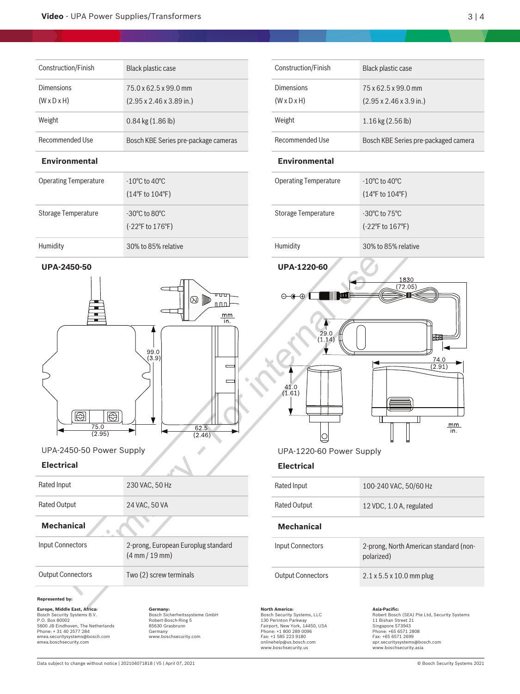| Construction/Finish                   | Black plastic case                                                    |
|---------------------------------------|-----------------------------------------------------------------------|
| Dimensions<br>$(W \times D \times H)$ | 75.0 x 62.5 x 99.0 mm<br>$(2.95 \times 2.46 \times 3.89 \text{ in.})$ |
| Weight                                | $0.84$ kg $(1.86$ lb)                                                 |
| Recommended Use                       | Bosch KBE Series pre-package cameras                                  |

# **Environmental**

| <b>Operating Temperature</b> | $-10^{\circ}$ C to 40 $^{\circ}$ C<br>$(14^{\circ}$ F to $104^{\circ}$ F) |
|------------------------------|---------------------------------------------------------------------------|
| Storage Temperature          | $-30^{\circ}$ C to $80^{\circ}$ C<br>$(-22^{\circ}$ F to $176^{\circ}$ F) |
| Humidity                     | 30% to 85% relative                                                       |

# **UPA-2450-50**



# UPA-2450-50 Power Supply

#### **Electrical**

| Rated Input              | 230 VAC, 50 Hz                                                          |
|--------------------------|-------------------------------------------------------------------------|
| <b>Rated Output</b>      | 24 VAC, 50 VA                                                           |
| <b>Mechanical</b>        |                                                                         |
| Input Connectors         | 2-prong, European Europlug standard<br>$(4 \text{ mm} / 19 \text{ mm})$ |
| <b>Output Connectors</b> | Two (2) screw terminals                                                 |
|                          |                                                                         |

#### **Represented by:**

**Europe, Middle East, Africa: Germany: North America: Asia-Pacific:** Bosch Security Systems, LLC 130 Perinton Parkway Fairport, New York, 14450, USA Phone: +1 800 289 0096 Fax: +1 585 223 9180 Bosch Security Systems B.V. P.O. Box 80002 5600 JB Eindhoven, The Netherlands Phone: + 31 40 2577 284 emea.securitysystems@bosch.com emea.boschsecurity.com

Bosch Sicherheitssysteme GmbH Robert-Bosch-Ring 5 85630 Grasbrunn Germany www.boschsecurity.com

| Construction/Finish                          | Black plastic case                                                 |
|----------------------------------------------|--------------------------------------------------------------------|
| <b>Dimensions</b><br>$(W \times D \times H)$ | 75 x 62.5 x 99.0 mm<br>$(2.95 \times 2.46 \times 3.9 \text{ in.})$ |
| Weight                                       | $1.16$ kg $(2.56$ lb)                                              |
| Recommended Use                              | Bosch KBE Series pre-packaged camera                               |
|                                              |                                                                    |

### **Environmental**

| <b>Operating Temperature</b> | $-10^{\circ}$ C to 40 $^{\circ}$ C<br>$(14^{\circ}$ F to $104^{\circ}$ F) |
|------------------------------|---------------------------------------------------------------------------|
| Storage Temperature          | $-30^{\circ}$ C to $75^{\circ}$ C<br>$(-22^{\circ}$ F to $167^{\circ}$ F) |
| Humidity                     | 30% to 85% relative                                                       |





UPA-1220-60 Power Supply

#### **Electrical**

| Rated Input              | 100-240 VAC, 50/60 Hz                                |  |
|--------------------------|------------------------------------------------------|--|
| <b>Rated Output</b>      | 12 VDC, 1.0 A, regulated                             |  |
| Mechanical               |                                                      |  |
| Input Connectors         | 2-prong, North American standard (non-<br>polarized) |  |
| <b>Output Connectors</b> | $2.1 \times 5.5 \times 10.0$ mm plug                 |  |
|                          |                                                      |  |

onlinehelp@us.bosch.com www.boschsecurity.us

Robert Bosch (SEA) Pte Ltd, Security Systems<br>11 Bishan Street 21<br>Singapore 573943<br>Phone: +65 6571 2808<br>Fax: +65 6571 2699 apr.securitysystems@bosch.com www.boschsecurity.asia